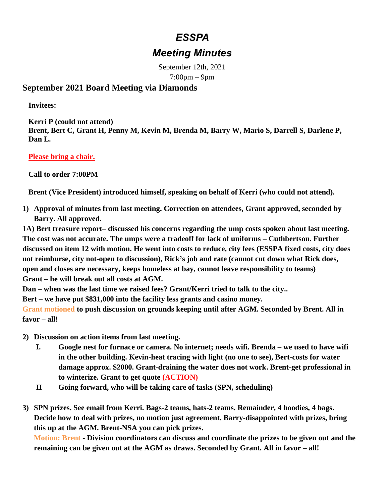## *ESSPA*

## *Meeting Minutes*

September 12th, 2021 7:00pm – 9pm

## **September 2021 Board Meeting via Diamonds**

**Invitees:**

**Kerri P (could not attend) Brent, Bert C, Grant H, Penny M, Kevin M, Brenda M, Barry W, Mario S, Darrell S, Darlene P, Dan L.**

**Please bring a chair.** 

**Call to order 7:00PM**

**Brent (Vice President) introduced himself, speaking on behalf of Kerri (who could not attend).**

**1) Approval of minutes from last meeting. Correction on attendees, Grant approved, seconded by Barry. All approved.**

**1A) Bert treasure report– discussed his concerns regarding the ump costs spoken about last meeting. The cost was not accurate. The umps were a tradeoff for lack of uniforms – Cuthbertson. Further discussed on item 12 with motion. He went into costs to reduce, city fees (ESSPA fixed costs, city does not reimburse, city not-open to discussion), Rick's job and rate (cannot cut down what Rick does, open and closes are necessary, keeps homeless at bay, cannot leave responsibility to teams) Grant – he will break out all costs at AGM.**

**Dan – when was the last time we raised fees? Grant/Kerri tried to talk to the city..**

**Bert – we have put \$831,000 into the facility less grants and casino money.** 

**Grant motioned to push discussion on grounds keeping until after AGM. Seconded by Brent. All in favor – all!**

- **2) Discussion on action items from last meeting.** 
	- **I. Google nest for furnace or camera. No internet; needs wifi. Brenda – we used to have wifi in the other building. Kevin-heat tracing with light (no one to see), Bert-costs for water damage approx. \$2000. Grant-draining the water does not work. Brent-get professional in to winterize. Grant to get quote (ACTION)**
	- **II Going forward, who will be taking care of tasks (SPN, scheduling)**
- **3) SPN prizes. See email from Kerri. Bags-2 teams, hats-2 teams. Remainder, 4 hoodies, 4 bags. Decide how to deal with prizes, no motion just agreement. Barry-disappointed with prizes, bring this up at the AGM. Brent-NSA you can pick prizes.**

**Motion: Brent - Division coordinators can discuss and coordinate the prizes to be given out and the remaining can be given out at the AGM as draws. Seconded by Grant. All in favor – all!**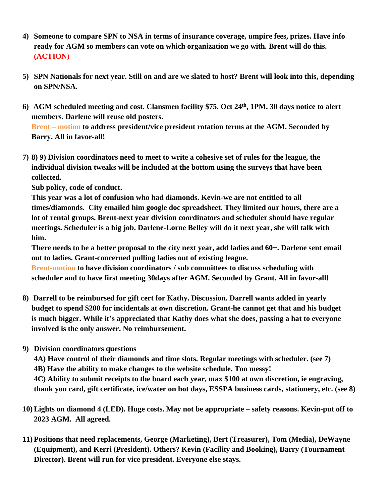- **4) Someone to compare SPN to NSA in terms of insurance coverage, umpire fees, prizes. Have info ready for AGM so members can vote on which organization we go with. Brent will do this. (ACTION)**
- **5) SPN Nationals for next year. Still on and are we slated to host? Brent will look into this, depending on SPN/NSA.**
- **6) AGM scheduled meeting and cost. Clansmen facility \$75. Oct 24th , 1PM. 30 days notice to alert members. Darlene will reuse old posters. Brent – motion to address president/vice president rotation terms at the AGM. Seconded by Barry. All in favor-all!**
- **7) 8) 9) Division coordinators need to meet to write a cohesive set of rules for the league, the individual division tweaks will be included at the bottom using the surveys that have been collected.**

**Sub policy, code of conduct.**

**This year was a lot of confusion who had diamonds. Kevin-we are not entitled to all times/diamonds. City emailed him google doc spreadsheet. They limited our hours, there are a lot of rental groups. Brent-next year division coordinators and scheduler should have regular meetings. Scheduler is a big job. Darlene-Lorne Belley will do it next year, she will talk with him.**

**There needs to be a better proposal to the city next year, add ladies and 60+. Darlene sent email out to ladies. Grant-concerned pulling ladies out of existing league.** 

**Brent-motion to have division coordinators / sub committees to discuss scheduling with scheduler and to have first meeting 30days after AGM. Seconded by Grant. All in favor-all!**

- **8) Darrell to be reimbursed for gift cert for Kathy. Discussion. Darrell wants added in yearly budget to spend \$200 for incidentals at own discretion. Grant-he cannot get that and his budget is much bigger. While it's appreciated that Kathy does what she does, passing a hat to everyone involved is the only answer. No reimbursement.**
- **9) Division coordinators questions**

**4A) Have control of their diamonds and time slots. Regular meetings with scheduler. (see 7) 4B) Have the ability to make changes to the website schedule. Too messy! 4C) Ability to submit receipts to the board each year, max \$100 at own discretion, ie engraving, thank you card, gift certificate, ice/water on hot days, ESSPA business cards, stationery, etc. (see 8)**

- **10) Lights on diamond 4 (LED). Huge costs. May not be appropriate – safety reasons. Kevin-put off to 2023 AGM. All agreed.**
- **11) Positions that need replacements, George (Marketing), Bert (Treasurer), Tom (Media), DeWayne (Equipment), and Kerri (President). Others? Kevin (Facility and Booking), Barry (Tournament Director). Brent will run for vice president. Everyone else stays.**